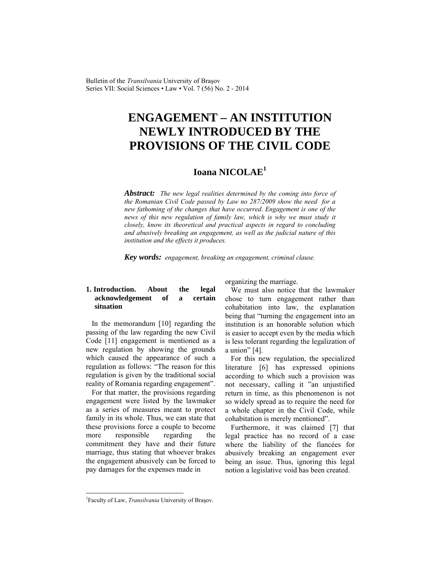# **ENGAGEMENT – AN INSTITUTION NEWLY INTRODUCED BY THE PROVISIONS OF THE CIVIL CODE**

# **Ioana NICOLAE<sup>1</sup>**

*Abstract: The new legal realities determined by the coming into force of the Romanian Civil Code passed by Law no 287/2009 show the need for a new fathoming of the changes that have occurred. Engagement is one of the*  news of this new regulation of family law, which is why we must study it *closely, know its theoretical and practical aspects in regard to concluding and abusively breaking an engagement, as well as the judicial nature of this institution and the effects it produces.* 

*Key words: engagement, breaking an engagement, criminal clause.* 

# **1. Introduction. About the legal acknowledgement of a certain situation**

In the memorandum [10] regarding the passing of the law regarding the new Civil Code [11] engagement is mentioned as a new regulation by showing the grounds which caused the appearance of such a regulation as follows: "The reason for this regulation is given by the traditional social reality of Romania regarding engagement".

For that matter, the provisions regarding engagement were listed by the lawmaker as a series of measures meant to protect family in its whole. Thus, we can state that these provisions force a couple to become more responsible regarding the commitment they have and their future marriage, thus stating that whoever brakes the engagement abusively can be forced to pay damages for the expenses made in

organizing the marriage.

We must also notice that the lawmaker chose to turn engagement rather than cohabitation into law, the explanation being that "turning the engagement into an institution is an honorable solution which is easier to accept even by the media which is less tolerant regarding the legalization of a union" [4].

For this new regulation, the specialized literature [6] has expressed opinions according to which such a provision was not necessary, calling it "an unjustified return in time, as this phenomenon is not so widely spread as to require the need for a whole chapter in the Civil Code, while cohabitation is merely mentioned".

Furthermore, it was claimed [7] that legal practice has no record of a case where the liability of the fiancées for abusively breaking an engagement ever being an issue. Thus, ignoring this legal notion a legislative void has been created.

 $\overline{\phantom{a}}$ 

<sup>&</sup>lt;sup>1</sup>Faculty of Law, *Transilvania* University of Brașov.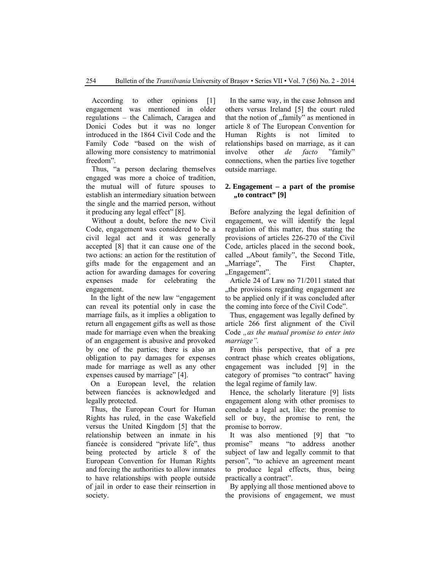According to other opinions [1] engagement was mentioned in older regulations – the Calimach, Caragea and Donici Codes but it was no longer introduced in the 1864 Civil Code and the Family Code "based on the wish of allowing more consistency to matrimonial freedom".

Thus, "a person declaring themselves engaged was more a choice of tradition, the mutual will of future spouses to establish an intermediary situation between the single and the married person, without it producing any legal effect" [8].

Without a doubt, before the new Civil Code, engagement was considered to be a civil legal act and it was generally accepted [8] that it can cause one of the two actions: an action for the restitution of gifts made for the engagement and an action for awarding damages for covering expenses made for celebrating the engagement.

In the light of the new law "engagement can reveal its potential only in case the marriage fails, as it implies a obligation to return all engagement gifts as well as those made for marriage even when the breaking of an engagement is abusive and provoked by one of the parties; there is also an obligation to pay damages for expenses made for marriage as well as any other expenses caused by marriage" [4].

On a European level, the relation between fiancées is acknowledged and legally protected.

Thus, the European Court for Human Rights has ruled, in the case Wakefield versus the United Kingdom [5] that the relationship between an inmate in his fiancée is considered "private life", thus being protected by article 8 of the European Convention for Human Rights and forcing the authorities to allow inmates to have relationships with people outside of jail in order to ease their reinsertion in society.

In the same way, in the case Johnson and others versus Ireland [5] the court ruled that the notion of "family" as mentioned in article 8 of The European Convention for Human Rights is not limited to relationships based on marriage, as it can involve other *de facto* "family" connections, when the parties live together outside marriage.

#### **2. Engagement – a part of the promise "to contract" [9]**

Before analyzing the legal definition of engagement, we will identify the legal regulation of this matter, thus stating the provisions of articles 226-270 of the Civil Code, articles placed in the second book, called "About family", the Second Title, "Marriage", The First Chapter, "Engagement".

Article 24 of Law no 71/2011 stated that ..the provisions regarding engagement are to be applied only if it was concluded after the coming into force of the Civil Code".

Thus, engagement was legally defined by article 266 first alignment of the Civil Code *"as the mutual promise to enter into marriage".* 

From this perspective, that of a pre contract phase which creates obligations, engagement was included [9] in the category of promises "to contract" having the legal regime of family law.

Hence, the scholarly literature [9] lists engagement along with other promises to conclude a legal act, like: the promise to sell or buy, the promise to rent, the promise to borrow.

It was also mentioned [9] that "to promise" means "to address another subject of law and legally commit to that person", "to achieve an agreement meant to produce legal effects, thus, being practically a contract".

By applying all those mentioned above to the provisions of engagement, we must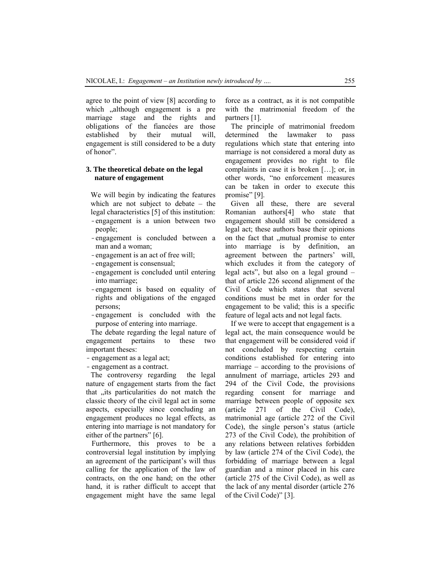agree to the point of view [8] according to which , although engagement is a pre marriage stage and the rights and obligations of the fiancées are those established by their mutual will, engagement is still considered to be a duty of honor".

#### **3. The theoretical debate on the legal nature of engagement**

We will begin by indicating the features which are not subject to debate – the legal characteristics [5] of this institution: -engagement is a union between two people;

- -engagement is concluded between a man and a woman;
- -engagement is an act of free will;
- -engagement is consensual;
- -engagement is concluded until entering into marriage;
- -engagement is based on equality of rights and obligations of the engaged persons;
- -engagement is concluded with the purpose of entering into marriage.

The debate regarding the legal nature of engagement pertains to these two important theses:

- engagement as a legal act;
- engagement as a contract.

The controversy regarding the legal nature of engagement starts from the fact that "its particularities do not match the classic theory of the civil legal act in some aspects, especially since concluding an engagement produces no legal effects, as entering into marriage is not mandatory for either of the partners" [6].

 Furthermore, this proves to be a controversial legal institution by implying an agreement of the participant's will thus calling for the application of the law of contracts, on the one hand; on the other hand, it is rather difficult to accept that engagement might have the same legal

force as a contract, as it is not compatible with the matrimonial freedom of the partners [1].

 The principle of matrimonial freedom determined the lawmaker to pass regulations which state that entering into marriage is not considered a moral duty as engagement provides no right to file complaints in case it is broken […]; or, in other words, "no enforcement measures can be taken in order to execute this promise" [9].

 Given all these, there are several Romanian authors[4] who state that engagement should still be considered a legal act; these authors base their opinions on the fact that "mutual promise to enter into marriage is by definition, an agreement between the partners' will, which excludes it from the category of legal acts", but also on a legal ground – that of article 226 second alignment of the Civil Code which states that several conditions must be met in order for the engagement to be valid; this is a specific feature of legal acts and not legal facts.

 If we were to accept that engagement is a legal act, the main consequence would be that engagement will be considered void if not concluded by respecting certain conditions established for entering into marriage – according to the provisions of annulment of marriage, articles 293 and 294 of the Civil Code, the provisions regarding consent for marriage and marriage between people of opposite sex (article 271 of the Civil Code), matrimonial age (article 272 of the Civil Code), the single person's status (article 273 of the Civil Code), the prohibition of any relations between relatives forbidden by law (article 274 of the Civil Code), the forbidding of marriage between a legal guardian and a minor placed in his care (article 275 of the Civil Code), as well as the lack of any mental disorder (article 276 of the Civil Code)" [3].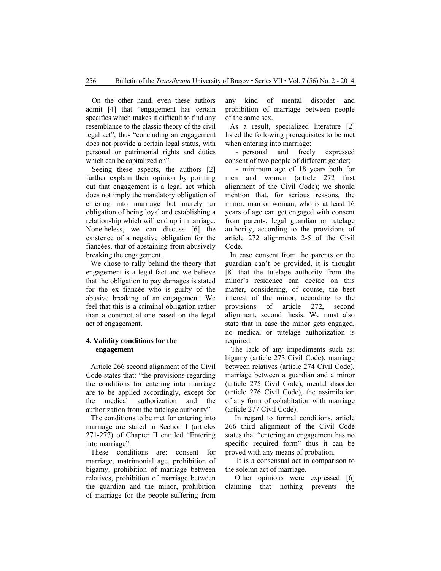On the other hand, even these authors admit [4] that "engagement has certain specifics which makes it difficult to find any resemblance to the classic theory of the civil legal act", thus "concluding an engagement does not provide a certain legal status, with personal or patrimonial rights and duties which can be capitalized on".

Seeing these aspects, the authors [2] further explain their opinion by pointing out that engagement is a legal act which does not imply the mandatory obligation of entering into marriage but merely an obligation of being loyal and establishing a relationship which will end up in marriage. Nonetheless, we can discuss [6] the existence of a negative obligation for the fiancées, that of abstaining from abusively breaking the engagement.

We chose to rally behind the theory that engagement is a legal fact and we believe that the obligation to pay damages is stated for the ex fiancée who is guilty of the abusive breaking of an engagement. We feel that this is a criminal obligation rather than a contractual one based on the legal act of engagement.

## **4. Validity conditions for the engagement**

Article 266 second alignment of the Civil Code states that: "the provisions regarding the conditions for entering into marriage are to be applied accordingly, except for the medical authorization and the authorization from the tutelage authority".

The conditions to be met for entering into marriage are stated in Section I (articles 271-277) of Chapter II entitled "Entering into marriage".

These conditions are: consent for marriage, matrimonial age, prohibition of bigamy, prohibition of marriage between relatives, prohibition of marriage between the guardian and the minor, prohibition of marriage for the people suffering from any kind of mental disorder and prohibition of marriage between people of the same sex.

As a result, specialized literature [2] listed the following prerequisites to be met when entering into marriage:

- personal and freely expressed consent of two people of different gender;

- minimum age of 18 years both for men and women (article 272 first alignment of the Civil Code); we should mention that, for serious reasons, the minor, man or woman, who is at least 16 years of age can get engaged with consent from parents, legal guardian or tutelage authority, according to the provisions of article 272 alignments 2-5 of the Civil Code.

In case consent from the parents or the guardian can't be provided, it is thought [8] that the tutelage authority from the minor's residence can decide on this matter, considering, of course, the best interest of the minor, according to the provisions of article 272, second alignment, second thesis. We must also state that in case the minor gets engaged, no medical or tutelage authorization is required.

The lack of any impediments such as: bigamy (article 273 Civil Code), marriage between relatives (article 274 Civil Code), marriage between a guardian and a minor (article 275 Civil Code), mental disorder (article 276 Civil Code), the assimilation of any form of cohabitation with marriage (article 277 Civil Code).

In regard to formal conditions, article 266 third alignment of the Civil Code states that "entering an engagement has no specific required form" thus it can be proved with any means of probation.

 It is a consensual act in comparison to the solemn act of marriage.

Other opinions were expressed [6] claiming that nothing prevents the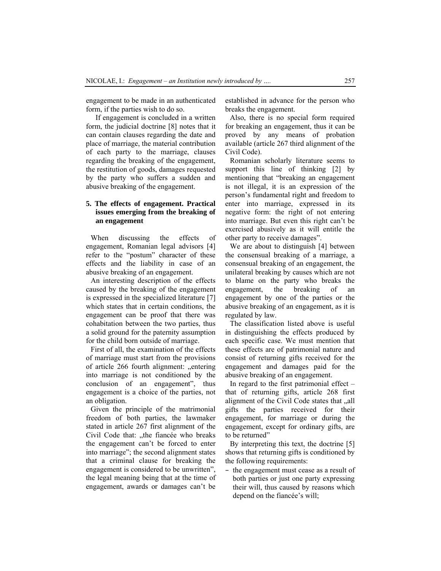engagement to be made in an authenticated form, if the parties wish to do so.

If engagement is concluded in a written form, the judicial doctrine [8] notes that it can contain clauses regarding the date and place of marriage, the material contribution of each party to the marriage, clauses regarding the breaking of the engagement, the restitution of goods, damages requested by the party who suffers a sudden and abusive breaking of the engagement.

## **5. The effects of engagement. Practical issues emerging from the breaking of an engagement**

When discussing the effects of engagement, Romanian legal advisors [4] refer to the "postum" character of these effects and the liability in case of an abusive breaking of an engagement.

An interesting description of the effects caused by the breaking of the engagement is expressed in the specialized literature [7] which states that in certain conditions, the engagement can be proof that there was cohabitation between the two parties, thus a solid ground for the paternity assumption for the child born outside of marriage.

First of all, the examination of the effects of marriage must start from the provisions of article 266 fourth alignment: "entering into marriage is not conditioned by the conclusion of an engagement", thus engagement is a choice of the parties, not an obligation.

Given the principle of the matrimonial freedom of both parties, the lawmaker stated in article 267 first alignment of the Civil Code that: "the fiancée who breaks the engagement can't be forced to enter into marriage"; the second alignment states that a criminal clause for breaking the engagement is considered to be unwritten", the legal meaning being that at the time of engagement, awards or damages can't be established in advance for the person who breaks the engagement.

Also, there is no special form required for breaking an engagement, thus it can be proved by any means of probation available (article 267 third alignment of the Civil Code).

Romanian scholarly literature seems to support this line of thinking [2] by mentioning that "breaking an engagement is not illegal, it is an expression of the person's fundamental right and freedom to enter into marriage, expressed in its negative form: the right of not entering into marriage. But even this right can't be exercised abusively as it will entitle the other party to receive damages".

We are about to distinguish [4] between the consensual breaking of a marriage, a consensual breaking of an engagement, the unilateral breaking by causes which are not to blame on the party who breaks the engagement, the breaking of an engagement by one of the parties or the abusive breaking of an engagement, as it is regulated by law.

The classification listed above is useful in distinguishing the effects produced by each specific case. We must mention that these effects are of patrimonial nature and consist of returning gifts received for the engagement and damages paid for the abusive breaking of an engagement.

In regard to the first patrimonial effect – that of returning gifts, article 268 first alignment of the Civil Code states that "all gifts the parties received for their engagement, for marriage or during the engagement, except for ordinary gifts, are to be returned"

By interpreting this text, the doctrine [5] shows that returning gifts is conditioned by the following requirements:

– the engagement must cease as a result of both parties or just one party expressing their will, thus caused by reasons which depend on the fiancée's will;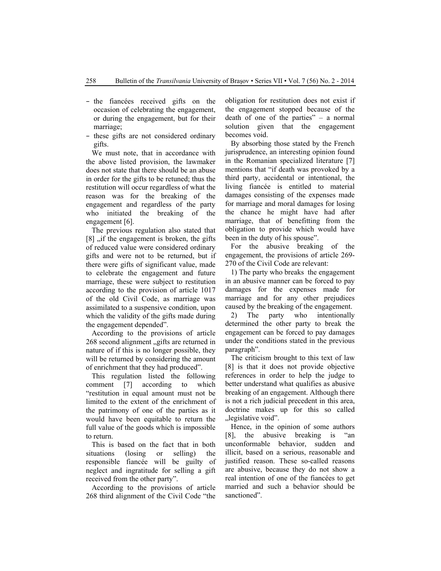- the fiancées received gifts on the occasion of celebrating the engagement, or during the engagement, but for their marriage;
- these gifts are not considered ordinary gifts.

We must note, that in accordance with the above listed provision, the lawmaker does not state that there should be an abuse in order for the gifts to be retuned; thus the restitution will occur regardless of what the reason was for the breaking of the engagement and regardless of the party who initiated the breaking of the engagement [6].

The previous regulation also stated that  $[8]$  , if the engagement is broken, the gifts of reduced value were considered ordinary gifts and were not to be returned, but if there were gifts of significant value, made to celebrate the engagement and future marriage, these were subject to restitution according to the provision of article 1017 of the old Civil Code, as marriage was assimilated to a suspensive condition, upon which the validity of the gifts made during the engagement depended".

According to the provisions of article 268 second alignment "gifts are returned in nature of if this is no longer possible, they will be returned by considering the amount of enrichment that they had produced".

This regulation listed the following comment [7] according to which "restitution in equal amount must not be limited to the extent of the enrichment of the patrimony of one of the parties as it would have been equitable to return the full value of the goods which is impossible to return.

This is based on the fact that in both situations (losing or selling) the responsible fiancée will be guilty of neglect and ingratitude for selling a gift received from the other party".

According to the provisions of article 268 third alignment of the Civil Code "the obligation for restitution does not exist if the engagement stopped because of the death of one of the parties" – a normal solution given that the engagement becomes void.

By absorbing those stated by the French jurisprudence, an interesting opinion found in the Romanian specialized literature [7] mentions that "if death was provoked by a third party, accidental or intentional, the living fiancée is entitled to material damages consisting of the expenses made for marriage and moral damages for losing the chance he might have had after marriage, that of benefitting from the obligation to provide which would have been in the duty of his spouse".

For the abusive breaking of the engagement, the provisions of article 269- 270 of the Civil Code are relevant:

1) The party who breaks the engagement in an abusive manner can be forced to pay damages for the expenses made for marriage and for any other prejudices caused by the breaking of the engagement.

2) The party who intentionally determined the other party to break the engagement can be forced to pay damages under the conditions stated in the previous paragraph".

The criticism brought to this text of law [8] is that it does not provide objective references in order to help the judge to better understand what qualifies as abusive breaking of an engagement. Although there is not a rich judicial precedent in this area, doctrine makes up for this so called "legislative void".

Hence, in the opinion of some authors [8], the abusive breaking is "an unconformable behavior, sudden and illicit, based on a serious, reasonable and justified reason. These so-called reasons are abusive, because they do not show a real intention of one of the fiancées to get married and such a behavior should be sanctioned".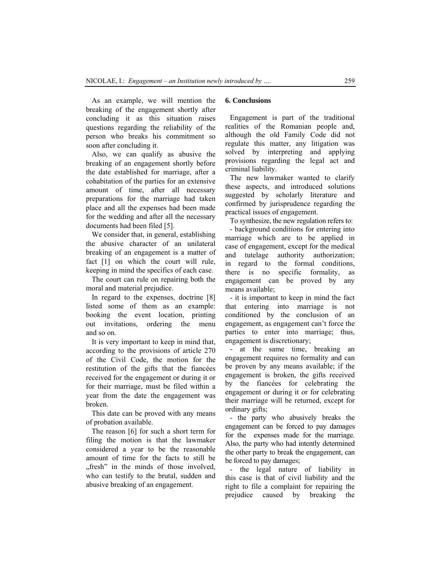As an example, we will mention the breaking of the engagement shortly after concluding it as this situation raises questions regarding the reliability of the person who breaks his commitment so soon after concluding it.

Also, we can qualify as abusive the breaking of an engagement shortly before the date established for marriage, after a cohabitation of the parties for an extensive amount of time, after all necessary preparations for the marriage had taken place and all the expenses had been made for the wedding and after all the necessary documents had been filed [5].

We consider that, in general, establishing the abusive character of an unilateral breaking of an engagement is a matter of fact [1] on which the court will rule, keeping in mind the specifics of each case.

The court can rule on repairing both the moral and material prejudice.

In regard to the expenses, doctrine [8] listed some of them as an example: booking the event location, printing out invitations, ordering the menu and so on.

It is very important to keep in mind that, according to the provisions of article 270 of the Civil Code, the motion for the restitution of the gifts that the fiancées received for the engagement or during it or for their marriage, must be filed within a year from the date the engagement was broken.

This date can be proved with any means of probation available.

The reason [6] for such a short term for filing the motion is that the lawmaker considered a year to be the reasonable amount of time for the facts to still be "fresh" in the minds of those involved, who can testify to the brutal, sudden and abusive breaking of an engagement.

#### **6. Conclusions**

Engagement is part of the traditional realities of the Romanian people and, although the old Family Code did not regulate this matter, any litigation was solved by interpreting and applying provisions regarding the legal act and criminal liability.

The new lawmaker wanted to clarify these aspects, and introduced solutions suggested by scholarly literature and confirmed by jurisprudence regarding the practical issues of engagement.

To synthesize, the new regulation refers to: - background conditions for entering into marriage which are to be applied in case of engagement, except for the medical and tutelage authority authorization; in regard to the formal conditions, there is no specific formality, as engagement can be proved by any means available;

- it is important to keep in mind the fact that entering into marriage is not conditioned by the conclusion of an engagement, as engagement can't force the parties to enter into marriage; thus, engagement is discretionary;

- at the same time, breaking an engagement requires no formality and can be proven by any means available; if the engagement is broken, the gifts received by the fiancées for celebrating the engagement or during it or for celebrating their marriage will be returned, except for ordinary gifts;

- the party who abusively breaks the engagement can be forced to pay damages for the expenses made for the marriage. Also, the party who had intently determined the other party to break the engagement, can be forced to pay damages;

- the legal nature of liability in this case is that of civil liability and the right to file a complaint for repairing the prejudice caused by breaking the